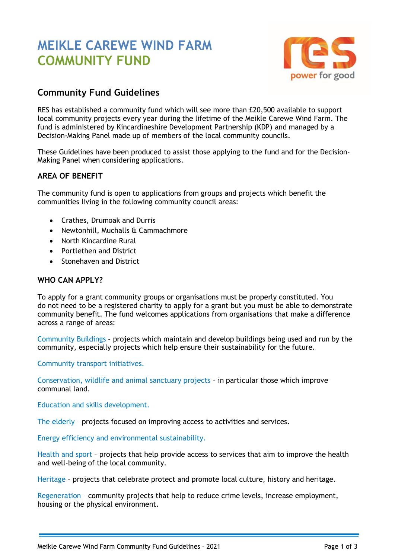# **MEIKLE CAREWE WIND FARM COMMUNITY FUND**



## **Community Fund Guidelines**

RES has established a community fund which will see more than £20,500 available to support local community projects every year during the lifetime of the Meikle Carewe Wind Farm. The fund is administered by Kincardineshire Development Partnership (KDP) and managed by a Decision-Making Panel made up of members of the local community councils.

These Guidelines have been produced to assist those applying to the fund and for the Decision-Making Panel when considering applications.

### **AREA OF BENEFIT**

The community fund is open to applications from groups and projects which benefit the communities living in the following community council areas:

- Crathes, Drumoak and Durris
- Newtonhill, Muchalls & Cammachmore
- North Kincardine Rural
- Portlethen and District
- Stonehaven and District

#### **WHO CAN APPLY?**

To apply for a grant community groups or organisations must be properly constituted. You do not need to be a registered charity to apply for a grant but you must be able to demonstrate community benefit. The fund welcomes applications from organisations that make a difference across a range of areas:

Community Buildings – projects which maintain and develop buildings being used and run by the community, especially projects which help ensure their sustainability for the future.

Community transport initiatives.

Conservation, wildlife and animal sanctuary projects – in particular those which improve communal land.

Education and skills development.

The elderly – projects focused on improving access to activities and services.

Energy efficiency and environmental sustainability.

Health and sport – projects that help provide access to services that aim to improve the health and well-being of the local community.

Heritage – projects that celebrate protect and promote local culture, history and heritage.

Regeneration – community projects that help to reduce crime levels, increase employment, housing or the physical environment.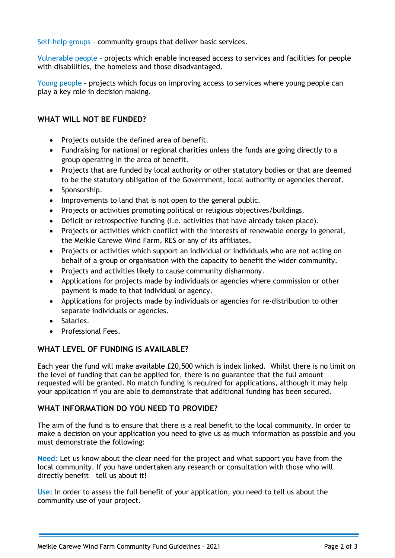Self-help groups – community groups that deliver basic services.

Vulnerable people – projects which enable increased access to services and facilities for people with disabilities, the homeless and those disadvantaged.

Young people – projects which focus on improving access to services where young people can play a key role in decision making.

#### **WHAT WILL NOT BE FUNDED?**

- Projects outside the defined area of benefit.
- Fundraising for national or regional charities unless the funds are going directly to a group operating in the area of benefit.
- Projects that are funded by local authority or other statutory bodies or that are deemed to be the statutory obligation of the Government, local authority or agencies thereof.
- Sponsorship.
- Improvements to land that is not open to the general public.
- Projects or activities promoting political or religious objectives/buildings.
- Deficit or retrospective funding (i.e. activities that have already taken place).
- Projects or activities which conflict with the interests of renewable energy in general, the Meikle Carewe Wind Farm, RES or any of its affiliates.
- Projects or activities which support an individual or individuals who are not acting on behalf of a group or organisation with the capacity to benefit the wider community.
- Projects and activities likely to cause community disharmony.
- Applications for projects made by individuals or agencies where commission or other payment is made to that individual or agency.
- Applications for projects made by individuals or agencies for re-distribution to other separate individuals or agencies.
- Salaries.
- Professional Fees.

#### **WHAT LEVEL OF FUNDING IS AVAILABLE?**

Each year the fund will make available £20,500 which is index linked. Whilst there is no limit on the level of funding that can be applied for, there is no guarantee that the full amount requested will be granted. No match funding is required for applications, although it may help your application if you are able to demonstrate that additional funding has been secured.

#### **WHAT INFORMATION DO YOU NEED TO PROVIDE?**

The aim of the fund is to ensure that there is a real benefit to the local community. In order to make a decision on your application you need to give us as much information as possible and you must demonstrate the following:

**Need:** Let us know about the clear need for the project and what support you have from the local community. If you have undertaken any research or consultation with those who will directly benefit – tell us about it!

**Use:** In order to assess the full benefit of your application, you need to tell us about the community use of your project.